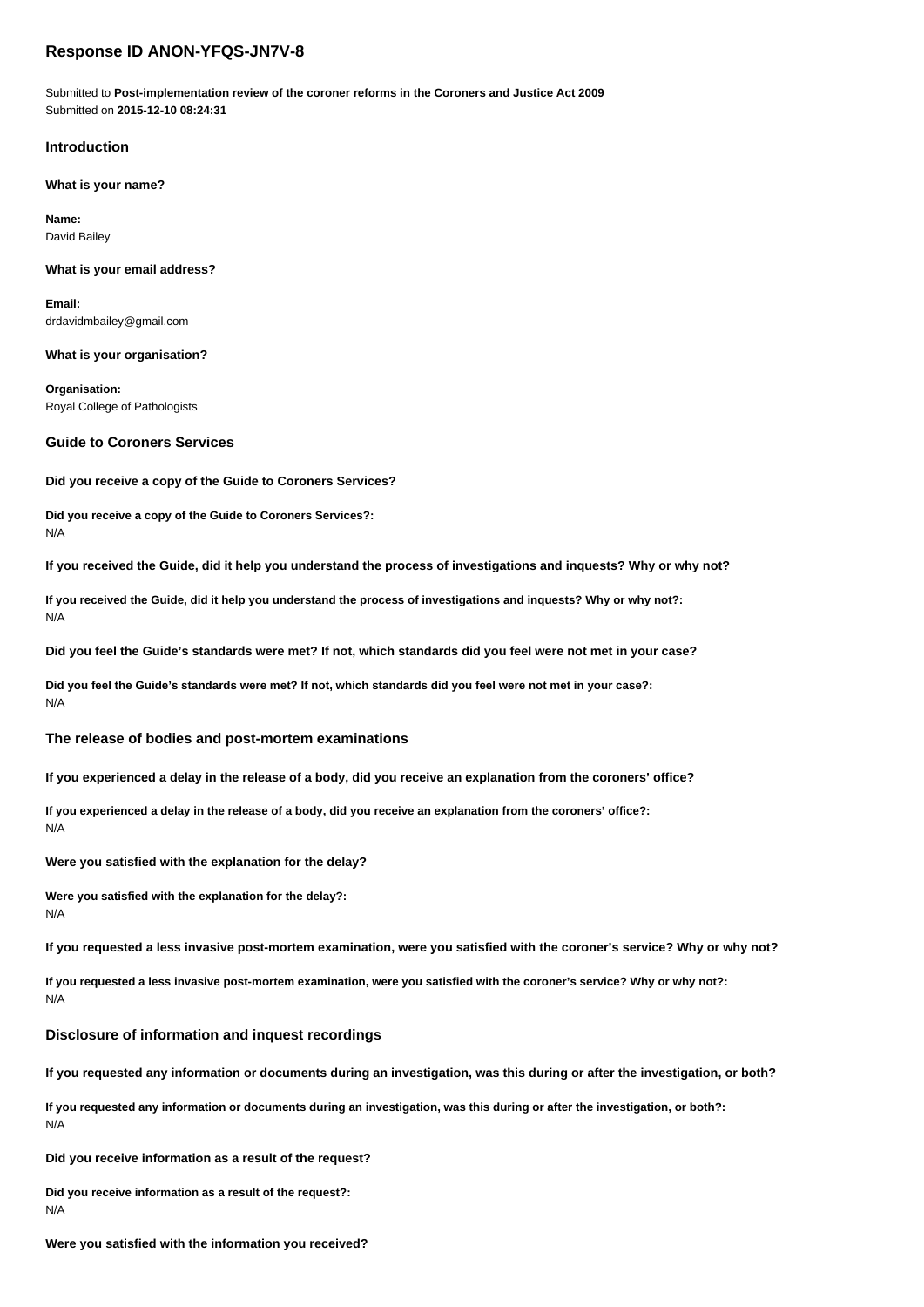# **Response ID ANON-YFQS-JN7V-8**

Submitted to **Post-implementation review of the coroner reforms in the Coroners and Justice Act 2009** Submitted on **2015-12-10 08:24:31**

#### **Introduction**

**What is your name?**

**Name:** David Bailey

#### **What is your email address?**

**Email:** drdavidmbailey@gmail.com

**What is your organisation?**

**Organisation:** Royal College of Pathologists

#### **Guide to Coroners Services**

**Did you receive a copy of the Guide to Coroners Services?**

**Did you receive a copy of the Guide to Coroners Services?:** N/A

**If you received the Guide, did it help you understand the process of investigations and inquests? Why or why not?**

**If you received the Guide, did it help you understand the process of investigations and inquests? Why or why not?:** N/A

**Did you feel the Guide's standards were met? If not, which standards did you feel were not met in your case?**

**Did you feel the Guide's standards were met? If not, which standards did you feel were not met in your case?:** N/A

#### **The release of bodies and post-mortem examinations**

**If you experienced a delay in the release of a body, did you receive an explanation from the coroners' office?**

**If you experienced a delay in the release of a body, did you receive an explanation from the coroners' office?:**

N/A

**Were you satisfied with the explanation for the delay?**

**Were you satisfied with the explanation for the delay?:** N/A

**If you requested a less invasive post-mortem examination, were you satisfied with the coroner's service? Why or why not?**

**If you requested a less invasive post-mortem examination, were you satisfied with the coroner's service? Why or why not?:** N/A

#### **Disclosure of information and inquest recordings**

**If you requested any information or documents during an investigation, was this during or after the investigation, or both?**

**If you requested any information or documents during an investigation, was this during or after the investigation, or both?:** N/A

**Did you receive information as a result of the request?**

**Did you receive information as a result of the request?:** N/A

**Were you satisfied with the information you received?**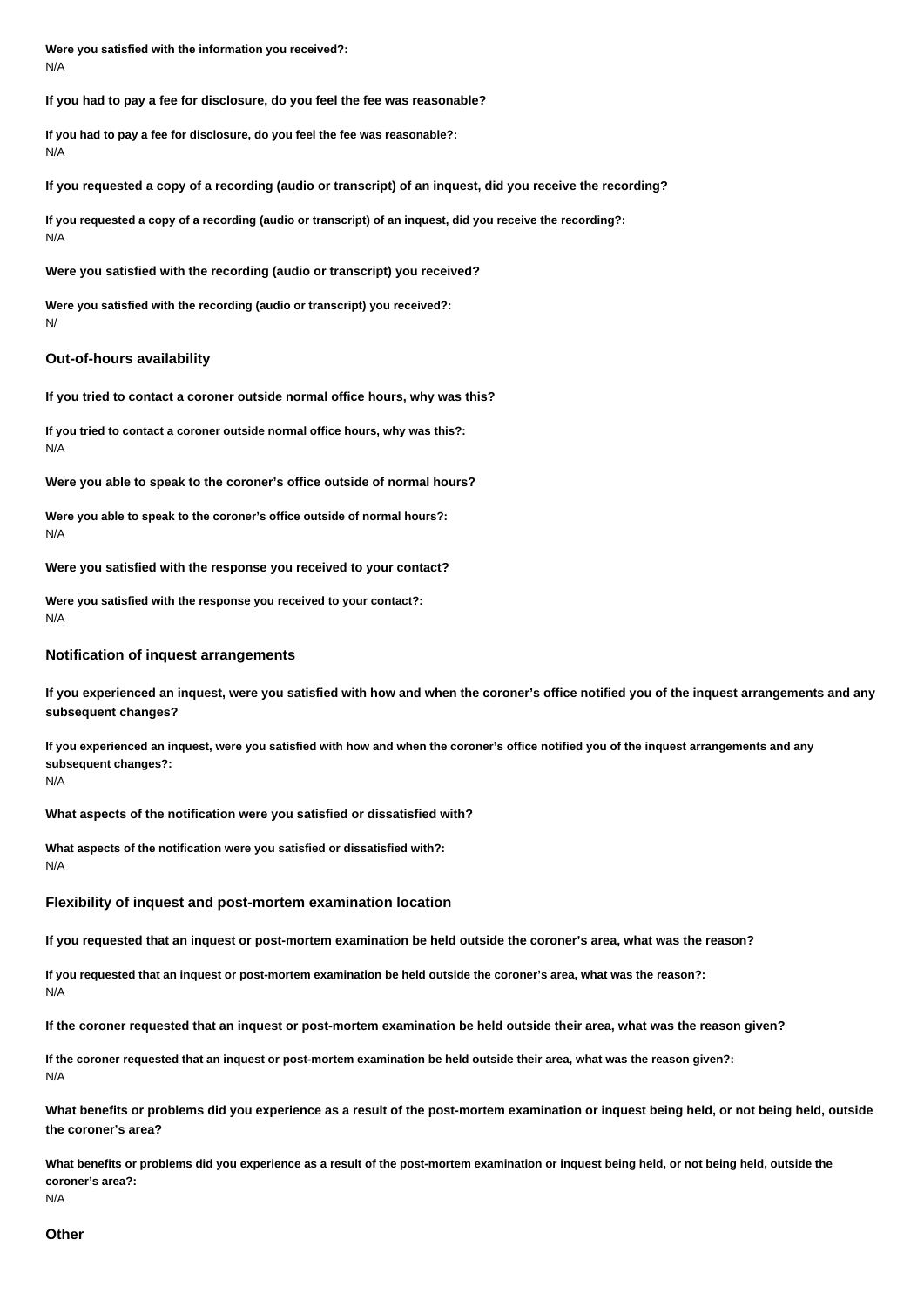**Were you satisfied with the information you received?:** N/A

**If you had to pay a fee for disclosure, do you feel the fee was reasonable?**

**If you had to pay a fee for disclosure, do you feel the fee was reasonable?:** N/A

**If you requested a copy of a recording (audio or transcript) of an inquest, did you receive the recording?**

**If you requested a copy of a recording (audio or transcript) of an inquest, did you receive the recording?:** N/A

**Were you satisfied with the recording (audio or transcript) you received?**

**Were you satisfied with the recording (audio or transcript) you received?:** N/

#### **Out-of-hours availability**

**If you tried to contact a coroner outside normal office hours, why was this?**

**If you tried to contact a coroner outside normal office hours, why was this?:** N/A

**Were you able to speak to the coroner's office outside of normal hours?**

**Were you able to speak to the coroner's office outside of normal hours?:** N/A

**Were you satisfied with the response you received to your contact?**

**Were you satisfied with the response you received to your contact?:** N/A

## **Notification of inquest arrangements**

**If you experienced an inquest, were you satisfied with how and when the coroner's office notified you of the inquest arrangements and any subsequent changes?**

**If you experienced an inquest, were you satisfied with how and when the coroner's office notified you of the inquest arrangements and any subsequent changes?:**

N/A

**What aspects of the notification were you satisfied or dissatisfied with?**

**What aspects of the notification were you satisfied or dissatisfied with?:** N/A

### **Flexibility of inquest and post-mortem examination location**

**If you requested that an inquest or post-mortem examination be held outside the coroner's area, what was the reason?**

**If you requested that an inquest or post-mortem examination be held outside the coroner's area, what was the reason?:** N/A

**If the coroner requested that an inquest or post-mortem examination be held outside their area, what was the reason given?**

**If the coroner requested that an inquest or post-mortem examination be held outside their area, what was the reason given?:** N/A

**What benefits or problems did you experience as a result of the post-mortem examination or inquest being held, or not being held, outside the coroner's area?**

**What benefits or problems did you experience as a result of the post-mortem examination or inquest being held, or not being held, outside the coroner's area?:**

N/A